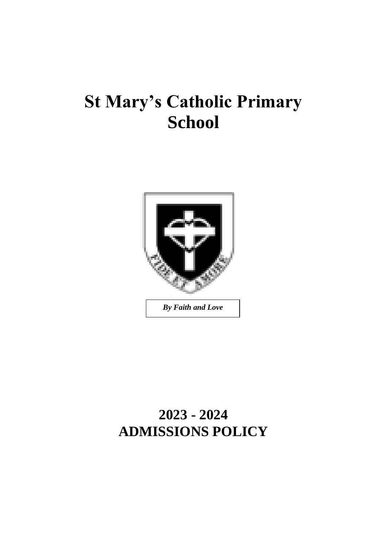# **St Mary's Catholic Primary School**



## **2023 - 2024 ADMISSIONS POLICY**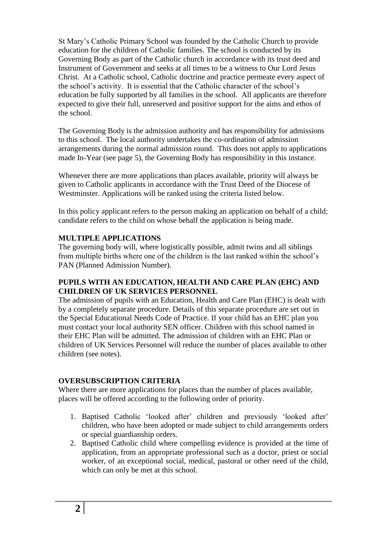St Mary's Catholic Primary School was founded by the Catholic Church to provide education for the children of Catholic families. The school is conducted by its Governing Body as part of the Catholic church in accordance with its trust deed and Instrument of Government and seeks at all times to be a witness to Our Lord Jesus Christ. At a Catholic school, Catholic doctrine and practice permeate every aspect of the school's activity. It is essential that the Catholic character of the school's education be fully supported by all families in the school. All applicants are therefore expected to give their full, unreserved and positive support for the aims and ethos of the school.

The Governing Body is the admission authority and has responsibility for admissions to this school. The local authority undertakes the co-ordination of admission arrangements during the normal admission round. This does not apply to applications made In-Year (see page 5), the Governing Body has responsibility in this instance.

Whenever there are more applications than places available, priority will always be given to Catholic applicants in accordance with the Trust Deed of the Diocese of Westminster. Applications will be ranked using the criteria listed below.

In this policy applicant refers to the person making an application on behalf of a child; candidate refers to the child on whose behalf the application is being made.

#### **MULTIPLE APPLICATIONS**

The governing body will, where logistically possible, admit twins and all siblings from multiple births where one of the children is the last ranked within the school's PAN (Planned Admission Number).

#### **PUPILS WITH AN EDUCATION, HEALTH AND CARE PLAN (EHC) AND CHILDREN OF UK SERVICES PERSONNEL**

The admission of pupils with an Education, Health and Care Plan (EHC) is dealt with by a completely separate procedure. Details of this separate procedure are set out in the Special Educational Needs Code of Practice. If your child has an EHC plan you must contact your local authority SEN officer. Children with this school named in their EHC Plan will be admitted. The admission of children with an EHC Plan or children of UK Services Personnel will reduce the number of places available to other children (see notes).

#### **OVERSUBSCRIPTION CRITERIA**

Where there are more applications for places than the number of places available, places will be offered according to the following order of priority.

- 1. Baptised Catholic 'looked after' children and previously 'looked after' children, who have been adopted or made subject to child arrangements orders or special guardianship orders.
- 2. Baptised Catholic child where compelling evidence is provided at the time of application, from an appropriate professional such as a doctor, priest or social worker, of an exceptional social, medical, pastoral or other need of the child, which can only be met at this school.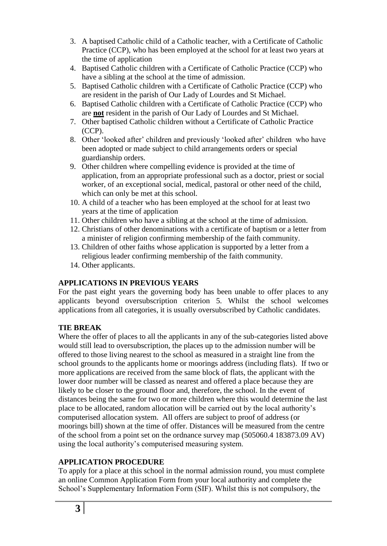- 3. A baptised Catholic child of a Catholic teacher, with a Certificate of Catholic Practice (CCP), who has been employed at the school for at least two years at the time of application
- 4. Baptised Catholic children with a Certificate of Catholic Practice (CCP) who have a sibling at the school at the time of admission.
- 5. Baptised Catholic children with a Certificate of Catholic Practice (CCP) who are resident in the parish of Our Lady of Lourdes and St Michael.
- 6. Baptised Catholic children with a Certificate of Catholic Practice (CCP) who are **not** resident in the parish of Our Lady of Lourdes and St Michael.
- 7. Other baptised Catholic children without a Certificate of Catholic Practice (CCP).
- 8. Other 'looked after' children and previously 'looked after' children who have been adopted or made subject to child arrangements orders or special guardianship orders.
- 9. Other children where compelling evidence is provided at the time of application, from an appropriate professional such as a doctor, priest or social worker, of an exceptional social, medical, pastoral or other need of the child, which can only be met at this school.
- 10. A child of a teacher who has been employed at the school for at least two years at the time of application
- 11. Other children who have a sibling at the school at the time of admission.
- 12. Christians of other denominations with a certificate of baptism or a letter from a minister of religion confirming membership of the faith community.
- 13. Children of other faiths whose application is supported by a letter from a religious leader confirming membership of the faith community.
- 14. Other applicants.

#### **APPLICATIONS IN PREVIOUS YEARS**

For the past eight years the governing body has been unable to offer places to any applicants beyond oversubscription criterion 5. Whilst the school welcomes applications from all categories, it is usually oversubscribed by Catholic candidates.

#### **TIE BREAK**

Where the offer of places to all the applicants in any of the sub-categories listed above would still lead to oversubscription, the places up to the admission number will be offered to those living nearest to the school as measured in a straight line from the school grounds to the applicants home or moorings address (including flats). If two or more applications are received from the same block of flats, the applicant with the lower door number will be classed as nearest and offered a place because they are likely to be closer to the ground floor and, therefore, the school. In the event of distances being the same for two or more children where this would determine the last place to be allocated, random allocation will be carried out by the local authority's computerised allocation system. All offers are subject to proof of address (or moorings bill) shown at the time of offer. Distances will be measured from the centre of the school from a point set on the ordnance survey map (505060.4 183873.09 AV) using the local authority's computerised measuring system.

#### **APPLICATION PROCEDURE**

To apply for a place at this school in the normal admission round, you must complete an online Common Application Form from your local authority and complete the School's Supplementary Information Form (SIF). Whilst this is not compulsory, the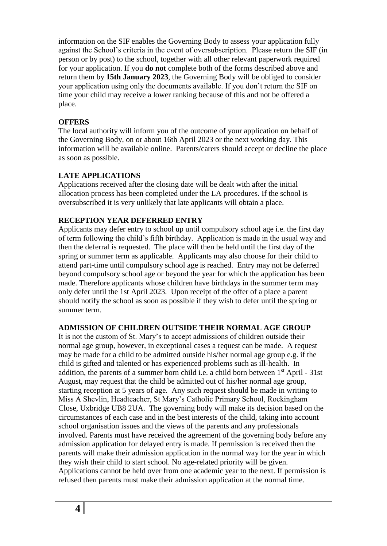information on the SIF enables the Governing Body to assess your application fully against the School's criteria in the event of oversubscription. Please return the SIF (in person or by post) to the school, together with all other relevant paperwork required for your application. If you **do not** complete both of the forms described above and return them by **15th January 2023**, the Governing Body will be obliged to consider your application using only the documents available. If you don't return the SIF on time your child may receive a lower ranking because of this and not be offered a place.

#### **OFFERS**

The local authority will inform you of the outcome of your application on behalf of the Governing Body, on or about 16th April 2023 or the next working day. This information will be available online. Parents/carers should accept or decline the place as soon as possible.

#### **LATE APPLICATIONS**

Applications received after the closing date will be dealt with after the initial allocation process has been completed under the LA procedures. If the school is oversubscribed it is very unlikely that late applicants will obtain a place.

#### **RECEPTION YEAR DEFERRED ENTRY**

Applicants may defer entry to school up until compulsory school age i.e. the first day of term following the child's fifth birthday. Application is made in the usual way and then the deferral is requested. The place will then be held until the first day of the spring or summer term as applicable. Applicants may also choose for their child to attend part-time until compulsory school age is reached. Entry may not be deferred beyond compulsory school age or beyond the year for which the application has been made. Therefore applicants whose children have birthdays in the summer term may only defer until the 1st April 2023. Upon receipt of the offer of a place a parent should notify the school as soon as possible if they wish to defer until the spring or summer term.

#### **ADMISSION OF CHILDREN OUTSIDE THEIR NORMAL AGE GROUP**

It is not the custom of St. Mary's to accept admissions of children outside their normal age group, however, in exceptional cases a request can be made. A request may be made for a child to be admitted outside his/her normal age group e.g. if the child is gifted and talented or has experienced problems such as ill-health. In addition, the parents of a summer born child i.e. a child born between  $1<sup>st</sup>$  April - 31st August, may request that the child be admitted out of his/her normal age group, starting reception at 5 years of age. Any such request should be made in writing to Miss A Shevlin, Headteacher, St Mary's Catholic Primary School, Rockingham Close, Uxbridge UB8 2UA. The governing body will make its decision based on the circumstances of each case and in the best interests of the child, taking into account school organisation issues and the views of the parents and any professionals involved. Parents must have received the agreement of the governing body before any admission application for delayed entry is made. If permission is received then the parents will make their admission application in the normal way for the year in which they wish their child to start school. No age-related priority will be given. Applications cannot be held over from one academic year to the next. If permission is refused then parents must make their admission application at the normal time.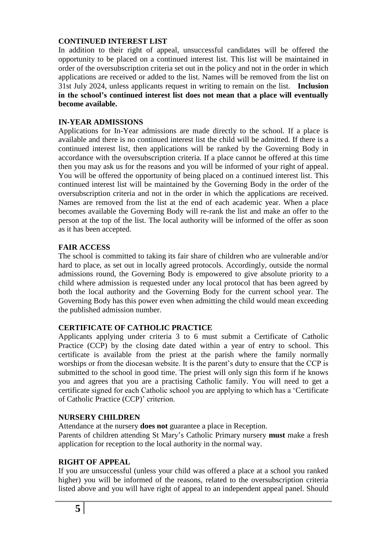#### **CONTINUED INTEREST LIST**

In addition to their right of appeal, unsuccessful candidates will be offered the opportunity to be placed on a continued interest list. This list will be maintained in order of the oversubscription criteria set out in the policy and not in the order in which applications are received or added to the list. Names will be removed from the list on 31st July 2024, unless applicants request in writing to remain on the list. **Inclusion in the school's continued interest list does not mean that a place will eventually become available.**

#### **IN-YEAR ADMISSIONS**

Applications for In-Year admissions are made directly to the school. If a place is available and there is no continued interest list the child will be admitted. If there is a continued interest list, then applications will be ranked by the Governing Body in accordance with the oversubscription criteria. If a place cannot be offered at this time then you may ask us for the reasons and you will be informed of your right of appeal. You will be offered the opportunity of being placed on a continued interest list. This continued interest list will be maintained by the Governing Body in the order of the oversubscription criteria and not in the order in which the applications are received. Names are removed from the list at the end of each academic year. When a place becomes available the Governing Body will re-rank the list and make an offer to the person at the top of the list. The local authority will be informed of the offer as soon as it has been accepted.

#### **FAIR ACCESS**

The school is committed to taking its fair share of children who are vulnerable and/or hard to place, as set out in locally agreed protocols. Accordingly, outside the normal admissions round, the Governing Body is empowered to give absolute priority to a child where admission is requested under any local protocol that has been agreed by both the local authority and the Governing Body for the current school year. The Governing Body has this power even when admitting the child would mean exceeding the published admission number.

#### **CERTIFICATE OF CATHOLIC PRACTICE**

Applicants applying under criteria 3 to 6 must submit a Certificate of Catholic Practice (CCP) by the closing date dated within a year of entry to school. This certificate is available from the priest at the parish where the family normally worships or from the diocesan website. It is the parent's duty to ensure that the CCP is submitted to the school in good time. The priest will only sign this form if he knows you and agrees that you are a practising Catholic family. You will need to get a certificate signed for each Catholic school you are applying to which has a 'Certificate of Catholic Practice (CCP)' criterion.

#### **NURSERY CHILDREN**

Attendance at the nursery **does not** guarantee a place in Reception.

Parents of children attending St Mary's Catholic Primary nursery **must** make a fresh application for reception to the local authority in the normal way.

#### **RIGHT OF APPEAL**

If you are unsuccessful (unless your child was offered a place at a school you ranked higher) you will be informed of the reasons, related to the oversubscription criteria listed above and you will have right of appeal to an independent appeal panel. Should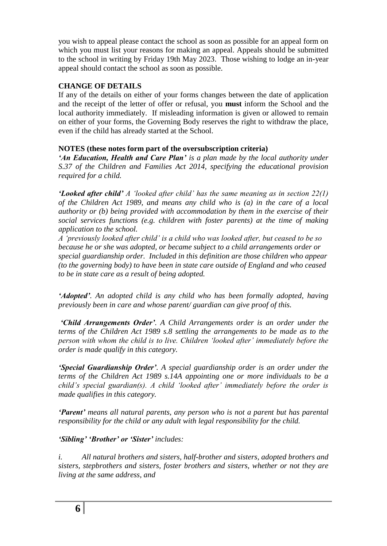you wish to appeal please contact the school as soon as possible for an appeal form on which you must list your reasons for making an appeal. Appeals should be submitted to the school in writing by Friday 19th May 2023. Those wishing to lodge an in-year appeal should contact the school as soon as possible.

#### **CHANGE OF DETAILS**

If any of the details on either of your forms changes between the date of application and the receipt of the letter of offer or refusal, you **must** inform the School and the local authority immediately. If misleading information is given or allowed to remain on either of your forms, the Governing Body reserves the right to withdraw the place, even if the child has already started at the School.

#### **NOTES (these notes form part of the oversubscription criteria)**

*'An Education, Health and Care Plan' is a plan made by the local authority under S.37 of the Children and Families Act 2014, specifying the educational provision required for a child.*

*'Looked after child' A 'looked after child' has the same meaning as in section 22(1) of the Children Act 1989, and means any child who is (a) in the care of a local authority or (b) being provided with accommodation by them in the exercise of their social services functions (e.g. children with foster parents) at the time of making application to the school.* 

*A 'previously looked after child' is a child who was looked after, but ceased to be so because he or she was adopted, or became subject to a child arrangements order or special guardianship order. Included in this definition are those children who appear (to the governing body) to have been in state care outside of England and who ceased to be in state care as a result of being adopted.*

*'Adopted'. An adopted child is any child who has been formally adopted, having previously been in care and whose parent/ guardian can give proof of this.*

*'Child Arrangements Order'. A Child Arrangements order is an order under the terms of the Children Act 1989 s.8 settling the arrangements to be made as to the person with whom the child is to live. Children 'looked after' immediately before the order is made qualify in this category.*

*'Special Guardianship Order'. A special guardianship order is an order under the terms of the Children Act 1989 s.14A appointing one or more individuals to be a child's special guardian(s). A child 'looked after' immediately before the order is made qualifies in this category.*

*'Parent' means all natural parents, any person who is not a parent but has parental responsibility for the child or any adult with legal responsibility for the child.*

*'Sibling' 'Brother' or 'Sister' includes:*

*i. All natural brothers and sisters, half-brother and sisters, adopted brothers and sisters, stepbrothers and sisters, foster brothers and sisters, whether or not they are living at the same address, and*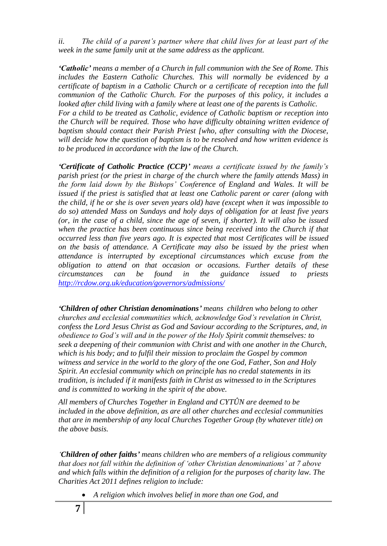*ii. The child of a parent's partner where that child lives for at least part of the week in the same family unit at the same address as the applicant.*

*'Catholic' means a member of a Church in full communion with the See of Rome. This includes the Eastern Catholic Churches. This will normally be evidenced by a certificate of baptism in a Catholic Church or a certificate of reception into the full communion of the Catholic Church. For the purposes of this policy, it includes a looked after child living with a family where at least one of the parents is Catholic. For a child to be treated as Catholic, evidence of Catholic baptism or reception into the Church will be required. Those who have difficulty obtaining written evidence of baptism should contact their Parish Priest [who, after consulting with the Diocese, will decide how the question of baptism is to be resolved and how written evidence is to be produced in accordance with the law of the Church.*

*'Certificate of Catholic Practice (CCP)' means a certificate issued by the family's parish priest (or the priest in charge of the church where the family attends Mass) in the form laid down by the Bishops' Conference of England and Wales. It will be issued if the priest is satisfied that at least one Catholic parent or carer (along with the child, if he or she is over seven years old) have (except when it was impossible to do so) attended Mass on Sundays and holy days of obligation for at least five years (or, in the case of a child, since the age of seven, if shorter). It will also be issued when the practice has been continuous since being received into the Church if that occurred less than five years ago. It is expected that most Certificates will be issued on the basis of attendance. A Certificate may also be issued by the priest when attendance is interrupted by exceptional circumstances which excuse from the obligation to attend on that occasion or occasions. Further details of these circumstances can be found in the guidance issued to priests <http://rcdow.org.uk/education/governors/admissions/>*

*'Children of other Christian denominations' means children who belong to other churches and ecclesial communities which, acknowledge God's revelation in Christ, confess the Lord Jesus Christ as God and Saviour according to the Scriptures, and, in obedience to God's will and in the power of the Holy Spirit commit themselves: to seek a deepening of their communion with Christ and with one another in the Church, which is his body; and to fulfil their mission to proclaim the Gospel by common witness and service in the world to the glory of the one God, Father, Son and Holy Spirit. An ecclesial community which on principle has no credal statements in its tradition, is included if it manifests faith in Christ as witnessed to in the Scriptures and is committed to working in the spirit of the above.*

*All members of Churches Together in England and CYTÛN are deemed to be included in the above definition, as are all other churches and ecclesial communities that are in membership of any local Churches Together Group (by whatever title) on the above basis.*

*'Children of other faiths' means children who are members of a religious community that does not fall within the definition of 'other Christian denominations' at 7 above and which falls within the definition of a religion for the purposes of charity law. The Charities Act 2011 defines religion to include:*

*A religion which involves belief in more than one God, and*